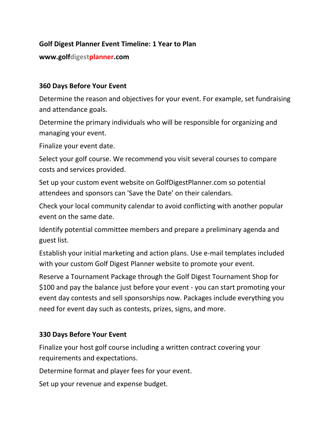## **Golf Digest Planner Event Timeline: 1 Year to Plan**

**www.golfdigestplanner.com**

### **360 Days Before Your Event**

Determine the reason and objectives for your event. For example, set fundraising and attendance goals.

Determine the primary individuals who will be responsible for organizing and managing your event.

Finalize your event date.

Select your golf course. We recommend you visit several courses to compare costs and services provided.

Set up your custom event website on GolfDigestPlanner.com so potential attendees and sponsors can 'Save the Date' on their calendars.

Check your local community calendar to avoid conflicting with another popular event on the same date.

Identify potential committee members and prepare a preliminary agenda and guest list.

Establish your initial marketing and action plans. Use e-mail templates included with your custom Golf Digest Planner website to promote your event.

Reserve a Tournament Package through the Golf Digest Tournament Shop for \$100 and pay the balance just before your event - you can start promoting your event day contests and sell sponsorships now. Packages include everything you need for event day such as contests, prizes, signs, and more.

#### **330 Days Before Your Event**

Finalize your host golf course including a written contract covering your requirements and expectations.

Determine format and player fees for your event.

Set up your revenue and expense budget.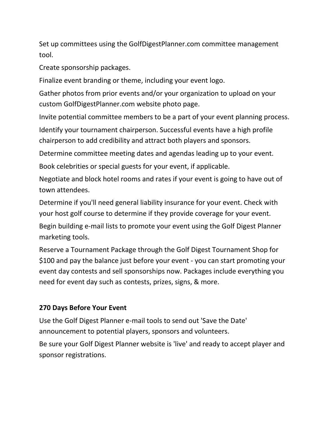Set up committees using the GolfDigestPlanner.com committee management tool.

Create sponsorship packages.

Finalize event branding or theme, including your event logo.

Gather photos from prior events and/or your organization to upload on your custom GolfDigestPlanner.com website photo page.

Invite potential committee members to be a part of your event planning process.

Identify your tournament chairperson. Successful events have a high profile chairperson to add credibility and attract both players and sponsors.

Determine committee meeting dates and agendas leading up to your event.

Book celebrities or special guests for your event, if applicable.

Negotiate and block hotel rooms and rates if your event is going to have out of town attendees.

Determine if you'll need general liability insurance for your event. Check with your host golf course to determine if they provide coverage for your event.

Begin building e-mail lists to promote your event using the Golf Digest Planner marketing tools.

Reserve a Tournament Package through the Golf Digest Tournament Shop for \$100 and pay the balance just before your event - you can start promoting your event day contests and sell sponsorships now. Packages include everything you need for event day such as contests, prizes, signs, & more.

## **270 Days Before Your Event**

Use the Golf Digest Planner e-mail tools to send out 'Save the Date' announcement to potential players, sponsors and volunteers.

Be sure your Golf Digest Planner website is 'live' and ready to accept player and sponsor registrations.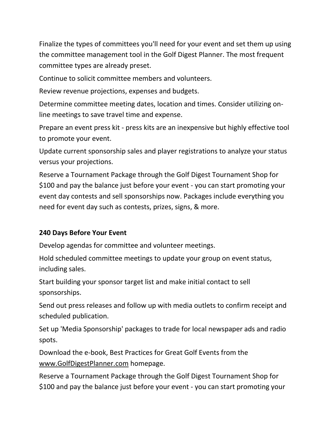Finalize the types of committees you'll need for your event and set them up using the committee management tool in the Golf Digest Planner. The most frequent committee types are already preset.

Continue to solicit committee members and volunteers.

Review revenue projections, expenses and budgets.

Determine committee meeting dates, location and times. Consider utilizing online meetings to save travel time and expense.

Prepare an event press kit - press kits are an inexpensive but highly effective tool to promote your event.

Update current sponsorship sales and player registrations to analyze your status versus your projections.

Reserve a Tournament Package through the Golf Digest Tournament Shop for \$100 and pay the balance just before your event - you can start promoting your event day contests and sell sponsorships now. Packages include everything you need for event day such as contests, prizes, signs, & more.

# **240 Days Before Your Event**

Develop agendas for committee and volunteer meetings.

Hold scheduled committee meetings to update your group on event status, including sales.

Start building your sponsor target list and make initial contact to sell sponsorships.

Send out press releases and follow up with media outlets to confirm receipt and scheduled publication.

Set up 'Media Sponsorship' packages to trade for local newspaper ads and radio spots.

Download the e-book, Best Practices for Great Golf Events from the [www.GolfDigestPlanner.com](http://www.golfdigestplanner.com/) homepage.

Reserve a Tournament Package through the Golf Digest Tournament Shop for \$100 and pay the balance just before your event - you can start promoting your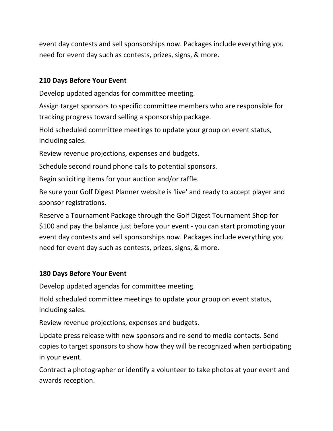event day contests and sell sponsorships now. Packages include everything you need for event day such as contests, prizes, signs, & more.

## **210 Days Before Your Event**

Develop updated agendas for committee meeting.

Assign target sponsors to specific committee members who are responsible for tracking progress toward selling a sponsorship package.

Hold scheduled committee meetings to update your group on event status, including sales.

Review revenue projections, expenses and budgets.

Schedule second round phone calls to potential sponsors.

Begin soliciting items for your auction and/or raffle.

Be sure your Golf Digest Planner website is 'live' and ready to accept player and sponsor registrations.

Reserve a Tournament Package through the Golf Digest Tournament Shop for \$100 and pay the balance just before your event - you can start promoting your event day contests and sell sponsorships now. Packages include everything you need for event day such as contests, prizes, signs, & more.

## **180 Days Before Your Event**

Develop updated agendas for committee meeting.

Hold scheduled committee meetings to update your group on event status, including sales.

Review revenue projections, expenses and budgets.

Update press release with new sponsors and re-send to media contacts. Send copies to target sponsors to show how they will be recognized when participating in your event.

Contract a photographer or identify a volunteer to take photos at your event and awards reception.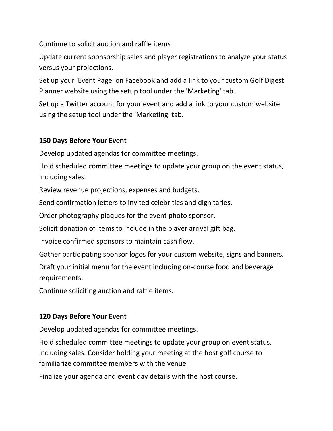Continue to solicit auction and raffle items

Update current sponsorship sales and player registrations to analyze your status versus your projections.

Set up your 'Event Page' on Facebook and add a link to your custom Golf Digest Planner website using the setup tool under the 'Marketing' tab.

Set up a Twitter account for your event and add a link to your custom website using the setup tool under the 'Marketing' tab.

# **150 Days Before Your Event**

Develop updated agendas for committee meetings.

Hold scheduled committee meetings to update your group on the event status, including sales.

Review revenue projections, expenses and budgets.

Send confirmation letters to invited celebrities and dignitaries.

Order photography plaques for the event photo sponsor.

Solicit donation of items to include in the player arrival gift bag.

Invoice confirmed sponsors to maintain cash flow.

Gather participating sponsor logos for your custom website, signs and banners.

Draft your initial menu for the event including on-course food and beverage requirements.

Continue soliciting auction and raffle items.

# **120 Days Before Your Event**

Develop updated agendas for committee meetings.

Hold scheduled committee meetings to update your group on event status, including sales. Consider holding your meeting at the host golf course to familiarize committee members with the venue.

Finalize your agenda and event day details with the host course.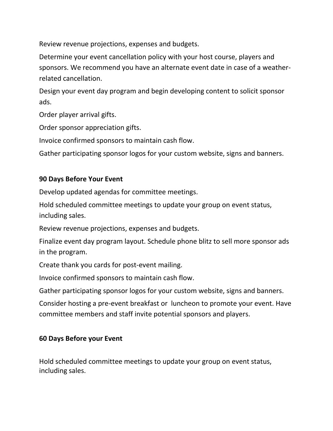Review revenue projections, expenses and budgets.

Determine your event cancellation policy with your host course, players and sponsors. We recommend you have an alternate event date in case of a weatherrelated cancellation.

Design your event day program and begin developing content to solicit sponsor ads.

Order player arrival gifts.

Order sponsor appreciation gifts.

Invoice confirmed sponsors to maintain cash flow.

Gather participating sponsor logos for your custom website, signs and banners.

# **90 Days Before Your Event**

Develop updated agendas for committee meetings.

Hold scheduled committee meetings to update your group on event status, including sales.

Review revenue projections, expenses and budgets.

Finalize event day program layout. Schedule phone blitz to sell more sponsor ads in the program.

Create thank you cards for post-event mailing.

Invoice confirmed sponsors to maintain cash flow.

Gather participating sponsor logos for your custom website, signs and banners.

Consider hosting a pre-event breakfast or luncheon to promote your event. Have committee members and staff invite potential sponsors and players.

# **60 Days Before your Event**

Hold scheduled committee meetings to update your group on event status, including sales.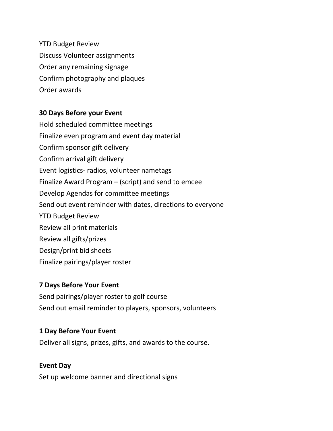YTD Budget Review Discuss Volunteer assignments Order any remaining signage Confirm photography and plaques Order awards

## **30 Days Before your Event**

Hold scheduled committee meetings Finalize even program and event day material Confirm sponsor gift delivery Confirm arrival gift delivery Event logistics- radios, volunteer nametags Finalize Award Program – (script) and send to emcee Develop Agendas for committee meetings Send out event reminder with dates, directions to everyone YTD Budget Review Review all print materials Review all gifts/prizes Design/print bid sheets Finalize pairings/player roster

#### **7 Days Before Your Event**

Send pairings/player roster to golf course Send out email reminder to players, sponsors, volunteers

#### **1 Day Before Your Event**

Deliver all signs, prizes, gifts, and awards to the course.

#### **Event Day**

Set up welcome banner and directional signs